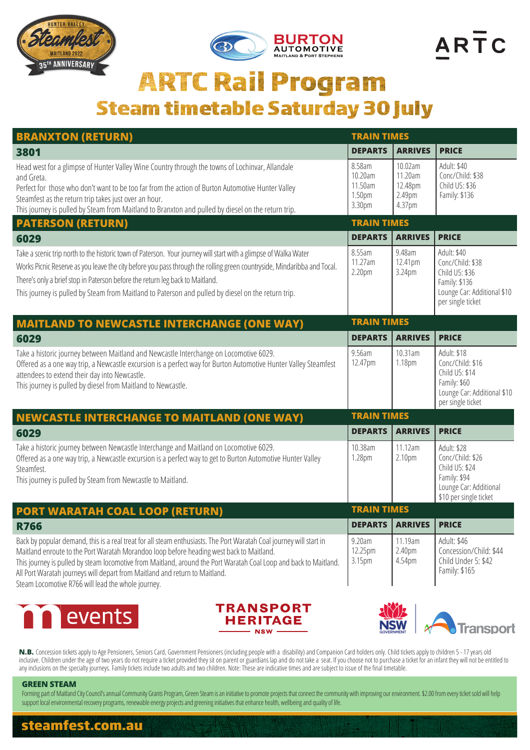





## **ARTC Rail Program Steam timetable Saturday 30 July**

| <b>BRANXTON (RETURN)</b>                                                                                                                                                                                                                                                                                                                                                                                                                                                 | <b>TRAIN TIMES</b>                               |                                                   |                                                                                                                        |
|--------------------------------------------------------------------------------------------------------------------------------------------------------------------------------------------------------------------------------------------------------------------------------------------------------------------------------------------------------------------------------------------------------------------------------------------------------------------------|--------------------------------------------------|---------------------------------------------------|------------------------------------------------------------------------------------------------------------------------|
| 3801                                                                                                                                                                                                                                                                                                                                                                                                                                                                     | <b>DEPARTS</b>                                   | <b>ARRIVES</b>                                    | <b>PRICE</b>                                                                                                           |
| Head west for a glimpse of Hunter Valley Wine Country through the towns of Lochinvar, Allandale<br>and Greta.<br>Perfect for those who don't want to be too far from the action of Burton Automotive Hunter Valley<br>Steamfest as the return trip takes just over an hour.<br>This journey is pulled by Steam from Maitland to Branxton and pulled by diesel on the return trip.                                                                                        | 8.58am<br>10.20am<br>11.50am<br>1.50pm<br>3.30pm | 10.02am<br>11.20am<br>12.48pm<br>2.49pm<br>4.37pm | Adult: \$40<br>Conc/Child: \$38<br>Child U5: \$36<br>Family: \$136                                                     |
| <b>PATERSON (RETURN)</b>                                                                                                                                                                                                                                                                                                                                                                                                                                                 | <b>TRAIN TIMES</b>                               |                                                   |                                                                                                                        |
| 6029                                                                                                                                                                                                                                                                                                                                                                                                                                                                     | <b>DEPARTS</b>                                   | <b>ARRIVES</b>                                    | <b>PRICE</b>                                                                                                           |
| Take a scenic trip north to the historic town of Paterson. Your journey will start with a glimpse of Walka Water<br>Works Picnic Reserve as you leave the city before you pass through the rolling green countryside, Mindaribba and Tocal.<br>There's only a brief stop in Paterson before the return leg back to Maitland.<br>This journey is pulled by Steam from Maitland to Paterson and pulled by diesel on the return trip.                                       | 8.55am<br>11.27am<br>2.20pm                      | 9.48am<br>12.41pm<br>3.24pm                       | Adult: \$40<br>Conc/Child: \$38<br>Child U5: \$36<br>Family: \$136<br>Lounge Car: Additional \$10<br>per single ticket |
| <b>MAITLAND TO NEWCASTLE INTERCHANGE (ONE WAY)</b>                                                                                                                                                                                                                                                                                                                                                                                                                       | <b>TRAIN TIMES</b>                               |                                                   |                                                                                                                        |
| 6029                                                                                                                                                                                                                                                                                                                                                                                                                                                                     | <b>DEPARTS</b>                                   | <b>ARRIVES</b>                                    | <b>PRICE</b>                                                                                                           |
| Take a historic journey between Maitland and Newcastle Interchange on Locomotive 6029.<br>Offered as a one way trip, a Newcastle excursion is a perfect way for Burton Automotive Hunter Valley Steamfest<br>attendees to extend their day into Newcastle.<br>This journey is pulled by diesel from Maitland to Newcastle.                                                                                                                                               | 9.56am<br>12.47pm                                | 10.31am<br>1.18pm                                 | Adult: \$18<br>Conc/Child: \$16<br>Child U5: \$14<br>Family: \$60<br>Lounge Car: Additional \$10<br>per single ticket  |
| <b>NEWCASTLE INTERCHANGE TO MAITLAND (ONE WAY)</b>                                                                                                                                                                                                                                                                                                                                                                                                                       | <b>TRAIN TIMES</b>                               |                                                   |                                                                                                                        |
| 6029                                                                                                                                                                                                                                                                                                                                                                                                                                                                     | <b>DEPARTS</b>                                   | <b>ARRIVES</b>                                    | <b>PRICE</b>                                                                                                           |
| Take a historic journey between Newcastle Interchange and Maitland on Locomotive 6029.<br>Offered as a one way trip, a Newcastle excursion is a perfect way to get to Burton Automotive Hunter Valley<br>Steamfest.<br>This journey is pulled by Steam from Newcastle to Maitland.                                                                                                                                                                                       | 10.38am<br>1.28pm                                | 11.12am<br>2.10pm                                 | Adult: \$28<br>Conc/Child: \$26<br>Child U5: \$24<br>Family: \$94<br>Lounge Car: Additional<br>\$10 per single ticket  |
| <b>PORT WARATAH COAL LOOP (RETURN)</b>                                                                                                                                                                                                                                                                                                                                                                                                                                   | <b>TRAIN TIMES</b>                               |                                                   |                                                                                                                        |
| <b>R766</b>                                                                                                                                                                                                                                                                                                                                                                                                                                                              | <b>DEPARTS</b>                                   | <b>ARRIVES</b>                                    | <b>PRICE</b>                                                                                                           |
| Back by popular demand, this is a real treat for all steam enthusiasts. The Port Waratah Coal journey will start in<br>Maitland enroute to the Port Waratah Morandoo loop before heading west back to Maitland.<br>This journey is pulled by steam locomotive from Maitland, around the Port Waratah Coal Loop and back to Maitland.<br>All Port Waratah journeys will depart from Maitland and return to Maitland.<br>Ctorm Locamative D7CC will lead the whole journau | 9.20am<br>12.25pm<br>3.15pm                      | 11.19am<br>2.40pm<br>4.54pm                       | Adult: \$46<br>Concession/Child: \$44<br>Child Under 5: \$42<br>Family: \$165                                          |

Steam Locomotive R766 will lead the whole journey.







N.B. Concession tickets apply to Age Pensioners, Seniors Card, Government Pensioners (including people with a disability) and Companion Card holders only. Child tickets apply to children 5 - 17 years old inclusive. Children under the age of two years do not require a ticket provided they sit on parent or guardians lap and do not take a seat. If you choose not to purchase a ticket for an infant they will not be entitled to any inclusions on the specialty journeys. Family tickets include two adults and two children. Note: These are indicative times and are subject to issue of the final timetable.

## **GREEN STEAM**

Forming part of Maitland City Council's annual Community Grants Program, Green Steam is an initiative to promote projects that connect the community with improving our environment. \$2.00 from every ticket sold will help support local environmental recovery programs, renewable energy projects and greening initiatives that enhance health, wellbeing and quality of life.

## **steamfest.com.au**